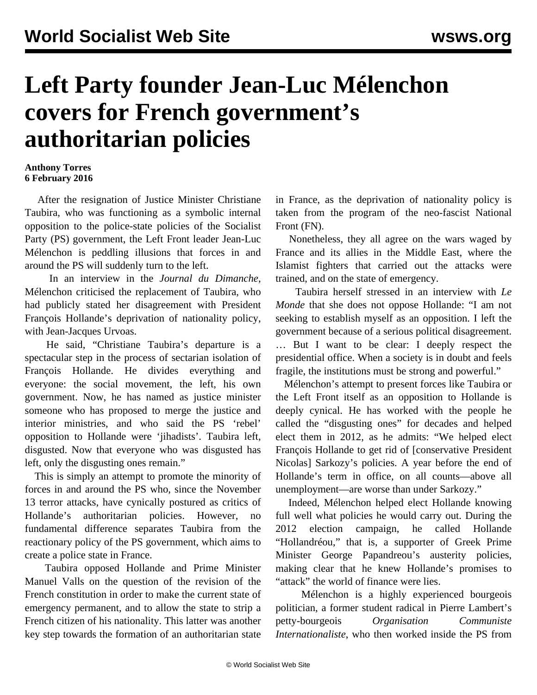## **Left Party founder Jean-Luc Mélenchon covers for French government's authoritarian policies**

## **Anthony Torres 6 February 2016**

 After the resignation of Justice Minister Christiane Taubira, who was functioning as a symbolic internal opposition to the police-state policies of the Socialist Party (PS) government, the Left Front leader Jean-Luc Mélenchon is peddling illusions that forces in and around the PS will suddenly turn to the left.

 In an interview in the *Journal du Dimanche*, Mélenchon criticised the replacement of Taubira, who had publicly stated her disagreement with President François Hollande's deprivation of nationality policy, with Jean-Jacques Urvoas.

 He said, "Christiane Taubira's departure is a spectacular step in the process of sectarian isolation of François Hollande. He divides everything and everyone: the social movement, the left, his own government. Now, he has named as justice minister someone who has proposed to merge the justice and interior ministries, and who said the PS 'rebel' opposition to Hollande were 'jihadists'. Taubira left, disgusted. Now that everyone who was disgusted has left, only the disgusting ones remain."

 This is simply an attempt to promote the minority of forces in and around the PS who, since the November 13 terror attacks, have cynically postured as critics of Hollande's authoritarian policies. However, no fundamental difference separates Taubira from the reactionary policy of the PS government, which aims to create a police state in France.

 Taubira opposed Hollande and Prime Minister Manuel Valls on the question of the revision of the French constitution in order to make the current state of emergency permanent, and to allow the state to strip a French citizen of his nationality. This latter was another key step towards the formation of an authoritarian state

in France, as the deprivation of nationality policy is taken from the program of the neo-fascist National Front (FN).

 Nonetheless, they all agree on the wars waged by France and its allies in the Middle East, where the Islamist fighters that carried out the attacks were trained, and on the state of emergency.

 Taubira herself stressed in an interview with *Le Monde* that she does not oppose Hollande: "I am not seeking to establish myself as an opposition. I left the government because of a serious political disagreement. … But I want to be clear: I deeply respect the presidential office. When a society is in doubt and feels fragile, the institutions must be strong and powerful."

 Mélenchon's attempt to present forces like Taubira or the Left Front itself as an opposition to Hollande is deeply cynical. He has worked with the people he called the "disgusting ones" for decades and helped elect them in 2012, as he admits: "We helped elect François Hollande to get rid of [conservative President Nicolas] Sarkozy's policies. A year before the end of Hollande's term in office, on all counts—above all unemployment—are worse than under Sarkozy."

 Indeed, Mélenchon helped elect Hollande knowing full well what policies he would carry out. During the 2012 election campaign, he called Hollande "Hollandréou," that is, a supporter of Greek Prime Minister George Papandreou's austerity policies, making clear that he knew Hollande's promises to "attack" the world of finance were lies.

 Mélenchon is a highly experienced bourgeois politician, a former student radical in Pierre Lambert's petty-bourgeois *Organisation Communiste Internationaliste*, who then worked inside the PS from